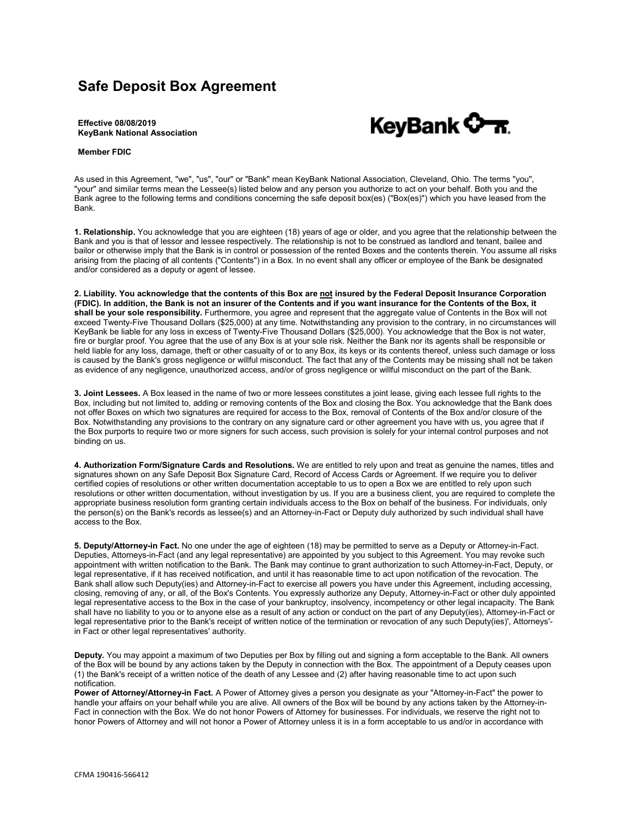## **Safe Deposit Box Agreement**

## KeyBank <del>0 7.</del>

**Effective 08/08/2019 KeyBank National Association**

## **Member FDIC**

As used in this Agreement, "we", "us", "our" or "Bank" mean KeyBank National Association, Cleveland, Ohio. The terms "you", "your" and similar terms mean the Lessee(s) listed below and any person you authorize to act on your behalf. Both you and the Bank agree to the following terms and conditions concerning the safe deposit box(es) ("Box(es)") which you have leased from the Bank.

**1. Relationship.** You acknowledge that you are eighteen (18) years of age or older, and you agree that the relationship between the Bank and you is that of lessor and lessee respectively. The relationship is not to be construed as landlord and tenant, bailee and bailor or otherwise imply that the Bank is in control or possession of the rented Boxes and the contents therein. You assume all risks arising from the placing of all contents ("Contents") in a Box. In no event shall any officer or employee of the Bank be designated and/or considered as a deputy or agent of lessee.

**2. Liability. You acknowledge that the contents of this Box are not insured by the Federal Deposit Insurance Corporation (FDIC). In addition, the Bank is not an insurer of the Contents and if you want insurance for the Contents of the Box, it shall be your sole responsibility.** Furthermore, you agree and represent that the aggregate value of Contents in the Box will not exceed Twenty-Five Thousand Dollars (\$25,000) at any time. Notwithstanding any provision to the contrary, in no circumstances will KeyBank be liable for any loss in excess of Twenty-Five Thousand Dollars (\$25,000). You acknowledge that the Box is not water, fire or burglar proof. You agree that the use of any Box is at your sole risk. Neither the Bank nor its agents shall be responsible or held liable for any loss, damage, theft or other casualty of or to any Box, its keys or its contents thereof, unless such damage or loss is caused by the Bank's gross negligence or willful misconduct. The fact that any of the Contents may be missing shall not be taken as evidence of any negligence, unauthorized access, and/or of gross negligence or willful misconduct on the part of the Bank.

**3. Joint Lessees.** A Box leased in the name of two or more lessees constitutes a joint lease, giving each lessee full rights to the Box, including but not limited to, adding or removing contents of the Box and closing the Box. You acknowledge that the Bank does not offer Boxes on which two signatures are required for access to the Box, removal of Contents of the Box and/or closure of the Box. Notwithstanding any provisions to the contrary on any signature card or other agreement you have with us, you agree that if the Box purports to require two or more signers for such access, such provision is solely for your internal control purposes and not binding on us.

**4. Authorization Form/Signature Cards and Resolutions.** We are entitled to rely upon and treat as genuine the names, titles and signatures shown on any Safe Deposit Box Signature Card, Record of Access Cards or Agreement. If we require you to deliver certified copies of resolutions or other written documentation acceptable to us to open a Box we are entitled to rely upon such resolutions or other written documentation, without investigation by us. If you are a business client, you are required to complete the appropriate business resolution form granting certain individuals access to the Box on behalf of the business. For individuals, only the person(s) on the Bank's records as lessee(s) and an Attorney-in-Fact or Deputy duly authorized by such individual shall have access to the Box.

**5. Deputy/Attorney-in Fact.** No one under the age of eighteen (18) may be permitted to serve as a Deputy or Attorney-in-Fact. Deputies, Attorneys-in-Fact (and any legal representative) are appointed by you subject to this Agreement. You may revoke such appointment with written notification to the Bank. The Bank may continue to grant authorization to such Attorney-in-Fact, Deputy, or legal representative, if it has received notification, and until it has reasonable time to act upon notification of the revocation. The Bank shall allow such Deputy(ies) and Attorney-in-Fact to exercise all powers you have under this Agreement, including accessing, closing, removing of any, or all, of the Box's Contents. You expressly authorize any Deputy, Attorney-in-Fact or other duly appointed legal representative access to the Box in the case of your bankruptcy, insolvency, incompetency or other legal incapacity. The Bank shall have no liability to you or to anyone else as a result of any action or conduct on the part of any Deputy(ies), Attorney-in-Fact or legal representative prior to the Bank's receipt of written notice of the termination or revocation of any such Deputy(ies)', Attorneys' in Fact or other legal representatives' authority.

**Deputy.** You may appoint a maximum of two Deputies per Box by filling out and signing a form acceptable to the Bank. All owners of the Box will be bound by any actions taken by the Deputy in connection with the Box. The appointment of a Deputy ceases upon (1) the Bank's receipt of a written notice of the death of any Lessee and (2) after having reasonable time to act upon such notification.

**Power of Attorney/Attorney-in Fact.** A Power of Attorney gives a person you designate as your "Attorney-in-Fact" the power to handle your affairs on your behalf while you are alive. All owners of the Box will be bound by any actions taken by the Attorney-in-Fact in connection with the Box. We do not honor Powers of Attorney for businesses. For individuals, we reserve the right not to honor Powers of Attorney and will not honor a Power of Attorney unless it is in a form acceptable to us and/or in accordance with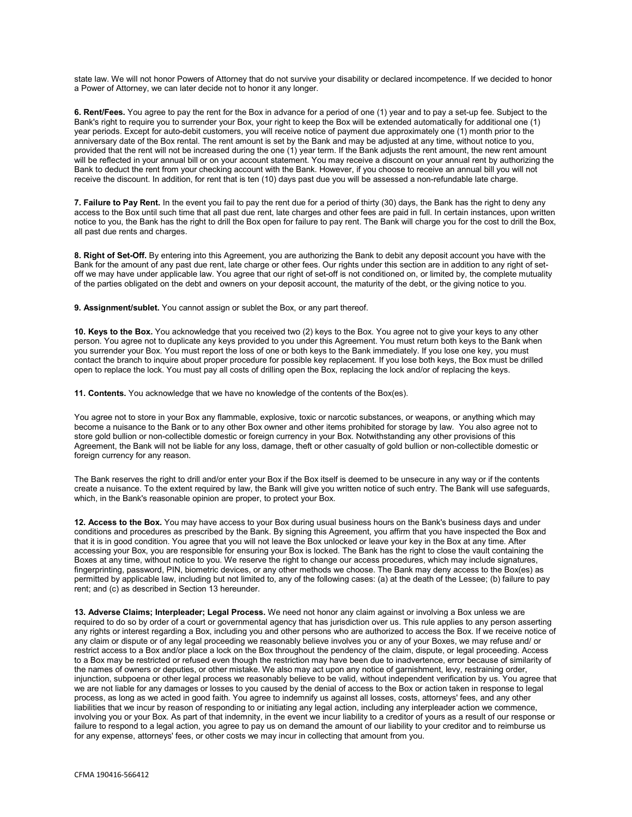state law. We will not honor Powers of Attorney that do not survive your disability or declared incompetence. If we decided to honor a Power of Attorney, we can later decide not to honor it any longer.

**6. Rent/Fees.** You agree to pay the rent for the Box in advance for a period of one (1) year and to pay a set-up fee. Subject to the Bank's right to require you to surrender your Box, your right to keep the Box will be extended automatically for additional one (1) year periods. Except for auto-debit customers, you will receive notice of payment due approximately one (1) month prior to the anniversary date of the Box rental. The rent amount is set by the Bank and may be adjusted at any time, without notice to you, provided that the rent will not be increased during the one (1) year term. If the Bank adjusts the rent amount, the new rent amount will be reflected in your annual bill or on your account statement. You may receive a discount on your annual rent by authorizing the Bank to deduct the rent from your checking account with the Bank. However, if you choose to receive an annual bill you will not receive the discount. In addition, for rent that is ten (10) days past due you will be assessed a non-refundable late charge.

**7. Failure to Pay Rent.** In the event you fail to pay the rent due for a period of thirty (30) days, the Bank has the right to deny any access to the Box until such time that all past due rent, late charges and other fees are paid in full. In certain instances, upon written notice to you, the Bank has the right to drill the Box open for failure to pay rent. The Bank will charge you for the cost to drill the Box, all past due rents and charges.

**8. Right of Set-Off.** By entering into this Agreement, you are authorizing the Bank to debit any deposit account you have with the Bank for the amount of any past due rent, late charge or other fees. Our rights under this section are in addition to any right of setoff we may have under applicable law. You agree that our right of set-off is not conditioned on, or limited by, the complete mutuality of the parties obligated on the debt and owners on your deposit account, the maturity of the debt, or the giving notice to you.

**9. Assignment/sublet.** You cannot assign or sublet the Box, or any part thereof.

**10. Keys to the Box.** You acknowledge that you received two (2) keys to the Box. You agree not to give your keys to any other person. You agree not to duplicate any keys provided to you under this Agreement. You must return both keys to the Bank when you surrender your Box. You must report the loss of one or both keys to the Bank immediately. If you lose one key, you must contact the branch to inquire about proper procedure for possible key replacement. If you lose both keys, the Box must be drilled open to replace the lock. You must pay all costs of drilling open the Box, replacing the lock and/or of replacing the keys.

**11. Contents.** You acknowledge that we have no knowledge of the contents of the Box(es).

You agree not to store in your Box any flammable, explosive, toxic or narcotic substances, or weapons, or anything which may become a nuisance to the Bank or to any other Box owner and other items prohibited for storage by law. You also agree not to store gold bullion or non-collectible domestic or foreign currency in your Box. Notwithstanding any other provisions of this Agreement, the Bank will not be liable for any loss, damage, theft or other casualty of gold bullion or non-collectible domestic or foreign currency for any reason.

The Bank reserves the right to drill and/or enter your Box if the Box itself is deemed to be unsecure in any way or if the contents create a nuisance. To the extent required by law, the Bank will give you written notice of such entry. The Bank will use safeguards, which, in the Bank's reasonable opinion are proper, to protect your Box.

**12. Access to the Box.** You may have access to your Box during usual business hours on the Bank's business days and under conditions and procedures as prescribed by the Bank. By signing this Agreement, you affirm that you have inspected the Box and that it is in good condition. You agree that you will not leave the Box unlocked or leave your key in the Box at any time. After accessing your Box, you are responsible for ensuring your Box is locked. The Bank has the right to close the vault containing the Boxes at any time, without notice to you. We reserve the right to change our access procedures, which may include signatures, fingerprinting, password, PIN, biometric devices, or any other methods we choose. The Bank may deny access to the Box(es) as permitted by applicable law, including but not limited to, any of the following cases: (a) at the death of the Lessee; (b) failure to pay rent; and (c) as described in Section 13 hereunder.

**13. Adverse Claims; Interpleader; Legal Process.** We need not honor any claim against or involving a Box unless we are required to do so by order of a court or governmental agency that has jurisdiction over us. This rule applies to any person asserting any rights or interest regarding a Box, including you and other persons who are authorized to access the Box. If we receive notice of any claim or dispute or of any legal proceeding we reasonably believe involves you or any of your Boxes, we may refuse and/ or restrict access to a Box and/or place a lock on the Box throughout the pendency of the claim, dispute, or legal proceeding. Access to a Box may be restricted or refused even though the restriction may have been due to inadvertence, error because of similarity of the names of owners or deputies, or other mistake. We also may act upon any notice of garnishment, levy, restraining order, injunction, subpoena or other legal process we reasonably believe to be valid, without independent verification by us. You agree that we are not liable for any damages or losses to you caused by the denial of access to the Box or action taken in response to legal process, as long as we acted in good faith. You agree to indemnify us against all losses, costs, attorneys' fees, and any other liabilities that we incur by reason of responding to or initiating any legal action, including any interpleader action we commence, involving you or your Box. As part of that indemnity, in the event we incur liability to a creditor of yours as a result of our response or failure to respond to a legal action, you agree to pay us on demand the amount of our liability to your creditor and to reimburse us for any expense, attorneys' fees, or other costs we may incur in collecting that amount from you.